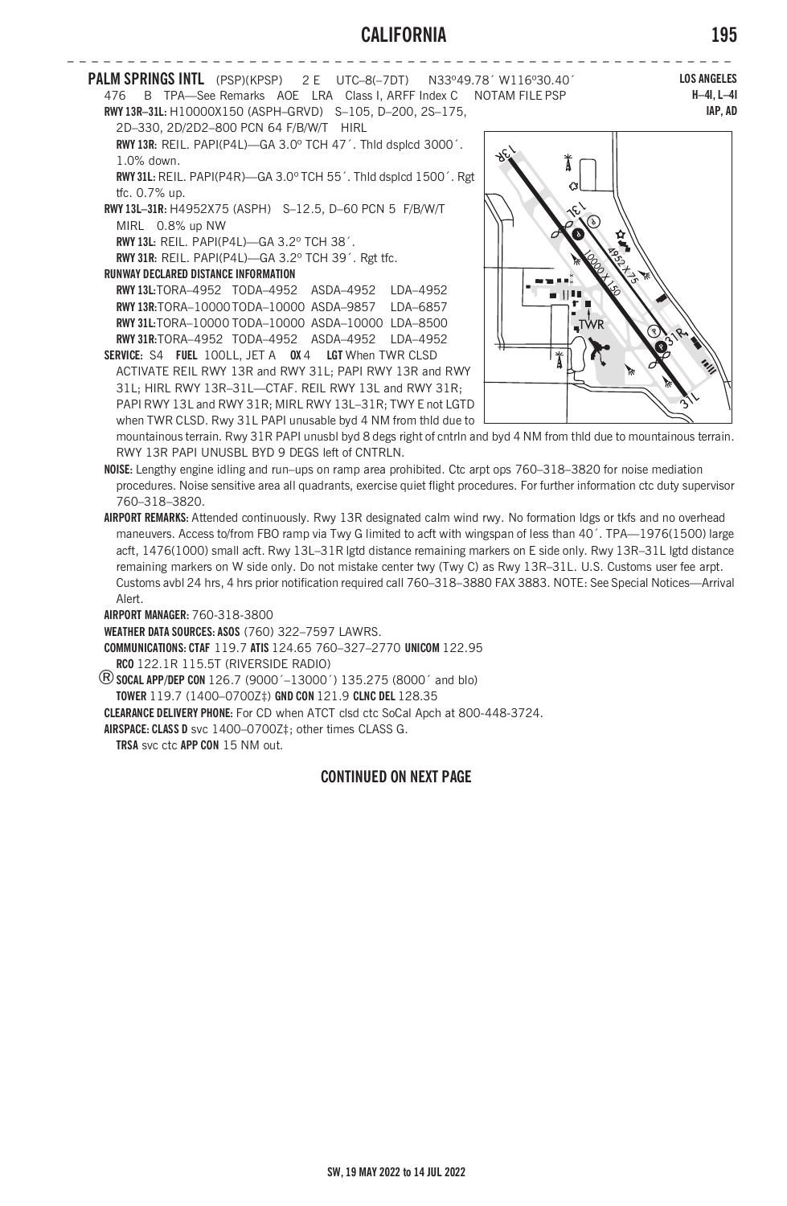## **CALIFORNIA 195**



**COMMUNICATIONS: CTAF** 119.7 **ATIS** 124.65 760–327–2770 **UNICOM** 122.95

**RCO** 122.1R 115.5T (RIVERSIDE RADIO) ®**SOCAL APP/DEP CON** 126.7 (9000´–13000´) 135.275 (8000´ and blo)

**TOWER** 119.7 (1400–0700Z‡) **GND CON** 121.9 **CLNC DEL** 128.35

**CLEARANCE DELIVERY PHONE:** For CD when ATCT clsd ctc SoCal Apch at 800-448-3724.

**AIRSPACE: CLASS D** svc 1400–0700Z‡; other times CLASS G.

**TRSA** svc ctc **APP CON** 15 NM out.

## **CONTINUED ON NEXT PAGE**